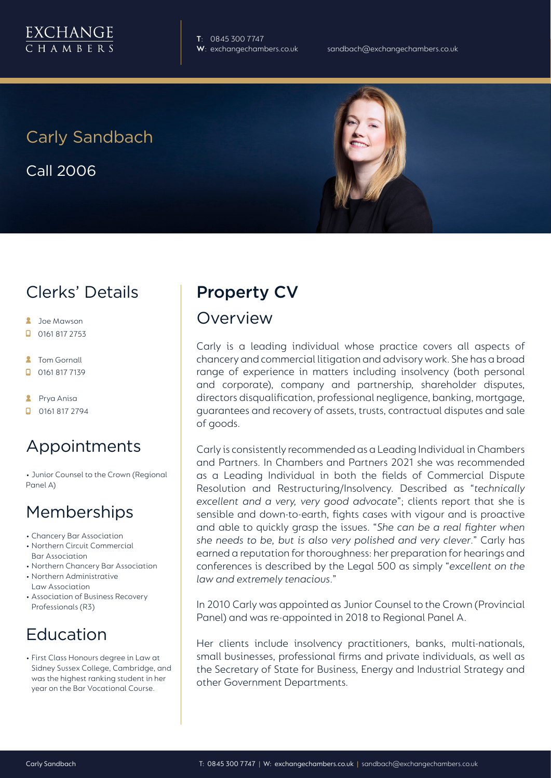

**T**: 0845 300 7747

# Carly Sandbach

Call 2006

#### Clerks' Details

- **2** Joe Mawson
- $\Box$  0161 817 2753
- **2** Tom Gornall
- 0161 817 7139
- **2** Prya Anisa
- **D** 0161 817 2794

## Appointments

• Junior Counsel to the Crown (Regional Panel A)

#### Memberships

- Chancery Bar Association
- Northern Circuit Commercial Bar Association
- Northern Chancery Bar Association
- Northern Administrative Law Association
- Association of Business Recovery
- Professionals (R3)

## Education

• First Class Honours degree in Law at Sidney Sussex College, Cambridge, and was the highest ranking student in her year on the Bar Vocational Course.

#### Property CV

#### Overview

Carly is a leading individual whose practice covers all aspects of chancery and commercial litigation and advisory work. She has a broad range of experience in matters including insolvency (both personal and corporate), company and partnership, shareholder disputes, directors disqualification, professional negligence, banking, mortgage, guarantees and recovery of assets, trusts, contractual disputes and sale of goods.

Carly is consistently recommended as a Leading Individual in Chambers and Partners. In Chambers and Partners 2021 she was recommended as a Leading Individual in both the fields of Commercial Dispute Resolution and Restructuring/Insolvency. Described as "*technically excellent and a very, very good advocate*"; clients report that she is sensible and down-to-earth, fights cases with vigour and is proactive and able to quickly grasp the issues. "*She can be a real fighter when she needs to be, but is also very polished and very clever*." Carly has earned a reputation for thoroughness: her preparation for hearings and conferences is described by the Legal 500 as simply "*excellent on the law and extremely tenacious*."

In 2010 Carly was appointed as Junior Counsel to the Crown (Provincial Panel) and was re-appointed in 2018 to Regional Panel A.

Her clients include insolvency practitioners, banks, multi-nationals, small businesses, professional firms and private individuals, as well as the Secretary of State for Business, Energy and Industrial Strategy and other Government Departments.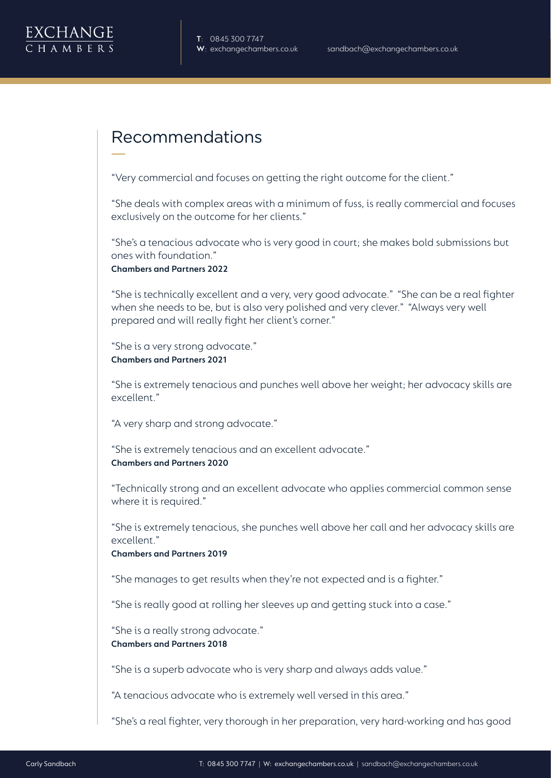

#### Recommendations

"Very commercial and focuses on getting the right outcome for the client."

"She deals with complex areas with a minimum of fuss, is really commercial and focuses exclusively on the outcome for her clients."

"She's a tenacious advocate who is very good in court; she makes bold submissions but ones with foundation."

**Chambers and Partners 2022**

"She is technically excellent and a very, very good advocate." "She can be a real fighter when she needs to be, but is also very polished and very clever." "Always very well prepared and will really fight her client's corner."

"She is a very strong advocate." **Chambers and Partners 2021**

"She is extremely tenacious and punches well above her weight; her advocacy skills are excellent."

"A very sharp and strong advocate."

"She is extremely tenacious and an excellent advocate." **Chambers and Partners 2020**

"Technically strong and an excellent advocate who applies commercial common sense where it is required."

"She is extremely tenacious, she punches well above her call and her advocacy skills are excellent."

**Chambers and Partners 2019** 

"She manages to get results when they're not expected and is a fighter."

"She is really good at rolling her sleeves up and getting stuck into a case."

"She is a really strong advocate." **Chambers and Partners 2018**

"She is a superb advocate who is very sharp and always adds value."

"A tenacious advocate who is extremely well versed in this area."

"She's a real fighter, very thorough in her preparation, very hard-working and has good